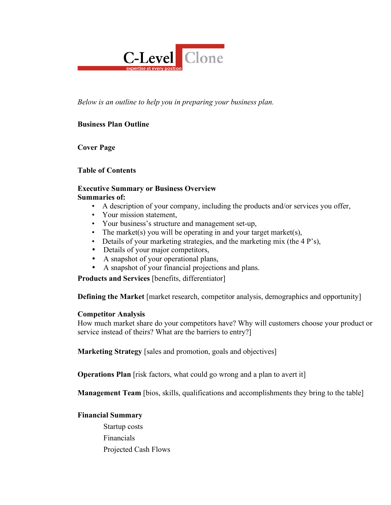

*Below is an outline to help you in preparing your business plan.*

# **Business Plan Outline**

**Cover Page**

## **Table of Contents**

#### **Executive Summary or Business Overview Summaries of:**

- A description of your company, including the products and/or services you offer,
- Your mission statement,
- Your business's structure and management set-up,
- The market(s) you will be operating in and your target market(s),
- Details of your marketing strategies, and the marketing mix (the 4 P's),
- Details of your major competitors,
- A snapshot of your operational plans,
- A snapshot of your financial projections and plans.

**Products and Services** [benefits, differentiator]

**Defining the Market** [market research, competitor analysis, demographics and opportunity]

## **Competitor Analysis**

How much market share do your competitors have? Why will customers choose your product or service instead of theirs? What are the barriers to entry?]

**Marketing Strategy** [sales and promotion, goals and objectives]

**Operations Plan** [risk factors, what could go wrong and a plan to avert it]

**Management Team** [bios, skills, qualifications and accomplishments they bring to the table]

## **Financial Summary**

Startup costs Financials Projected Cash Flows